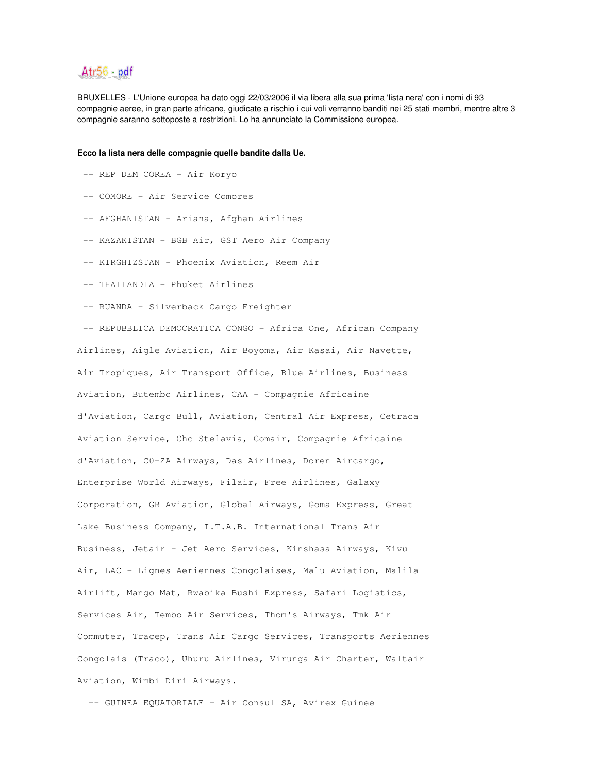## Atr56 - pdf

BRUXELLES - L'Unione europea ha dato oggi 22/03/2006 il via libera alla sua prima 'lista nera' con i nomi di 93 compagnie aeree, in gran parte africane, giudicate a rischio i cui voli verranno banditi nei 25 stati membri, mentre altre 3 compagnie saranno sottoposte a restrizioni. Lo ha annunciato la Commissione europea.

## **Ecco la lista nera delle compagnie quelle bandite dalla Ue.**

- -- REP DEM COREA Air Koryo
- -- COMORE Air Service Comores
- -- AFGHANISTAN Ariana, Afghan Airlines
- -- KAZAKISTAN BGB Air, GST Aero Air Company
- -- KIRGHIZSTAN Phoenix Aviation, Reem Air
- -- THAILANDIA Phuket Airlines
- -- RUANDA Silverback Cargo Freighter

-- REPUBBLICA DEMOCRATICA CONGO - Africa One, African Company Airlines, Aigle Aviation, Air Boyoma, Air Kasai, Air Navette, Air Tropiques, Air Transport Office, Blue Airlines, Business Aviation, Butembo Airlines, CAA - Compagnie Africaine d'Aviation, Cargo Bull, Aviation, Central Air Express, Cetraca Aviation Service, Chc Stelavia, Comair, Compagnie Africaine d'Aviation, C0-ZA Airways, Das Airlines, Doren Aircargo, Enterprise World Airways, Filair, Free Airlines, Galaxy Corporation, GR Aviation, Global Airways, Goma Express, Great Lake Business Company, I.T.A.B. International Trans Air Business, Jetair - Jet Aero Services, Kinshasa Airways, Kivu Air, LAC - Lignes Aeriennes Congolaises, Malu Aviation, Malila Airlift, Mango Mat, Rwabika Bushi Express, Safari Logistics, Services Air, Tembo Air Services, Thom's Airways, Tmk Air Commuter, Tracep, Trans Air Cargo Services, Transports Aeriennes Congolais (Traco), Uhuru Airlines, Virunga Air Charter, Waltair Aviation, Wimbi Diri Airways.

-- GUINEA EQUATORIALE - Air Consul SA, Avirex Guinee